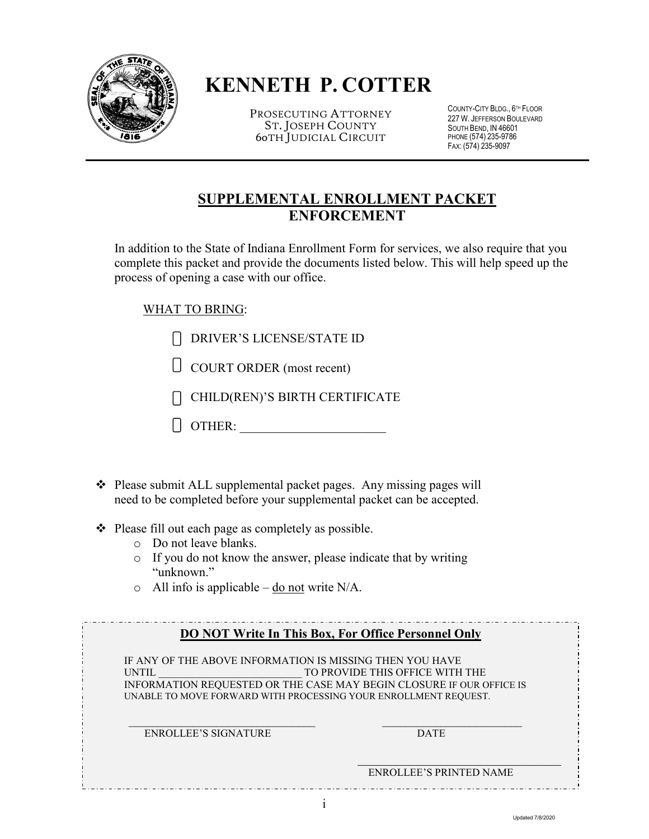

# **KENNETH P. COTTER**

PROSECUTING ATTORNEY ST. JOSEPH COUNTY 60TH JUDICIAL CIRCUIT

COUNTY-CITY BLDG., 6 TH FLOOR 227 W. JEFFERSON BOULEVARD SOUTH BEND, IN 46601 PHONE (574) 235-9786 FAX: (574) 235-9097

# **SUPPLEMENTAL ENROLLMENT PACKET ENFORCEMENT**

In addition to the State of Indiana Enrollment Form for services, we also require that you complete this packet and provide the documents listed below. This will help speed up the process of opening a case with our office.

# WHAT TO BRING:

 $\overline{a}$ 

- DRIVER'S LICENSE/STATE ID
- COURT ORDER (most recent)
- CHILD(REN)'S BIRTH CERTIFICATE
- OTHER: \_\_\_\_\_\_\_\_\_\_\_\_\_\_\_\_\_\_\_\_\_\_\_
- $\triangle$  Please submit ALL supplemental packet pages. Any missing pages will need to be completed before your supplemental packet can be accepted.
- $\triangle$  Please fill out each page as completely as possible.
	- o Do not leave blanks.
	- o If you do not know the answer, please indicate that by writing "unknown."
	- $\circ$  All info is applicable do not write N/A.

|                                                                                                                                             | <b>DO NOT Write In This Box, For Office Personnel Only</b>                                              |
|---------------------------------------------------------------------------------------------------------------------------------------------|---------------------------------------------------------------------------------------------------------|
| IF ANY OF THE ABOVE INFORMATION IS MISSING THEN YOU HAVE<br><b>UNTIL</b><br>UNABLE TO MOVE FORWARD WITH PROCESSING YOUR ENROLLMENT REQUEST. | TO PROVIDE THIS OFFICE WITH THE<br>INFORMATION REQUESTED OR THE CASE MAY BEGIN CLOSURE IF OUR OFFICE IS |
| <b>ENROLLEE'S SIGNATURE</b>                                                                                                                 | <b>DATE</b>                                                                                             |
|                                                                                                                                             | <b>ENROLLEE'S PRINTED NAME</b>                                                                          |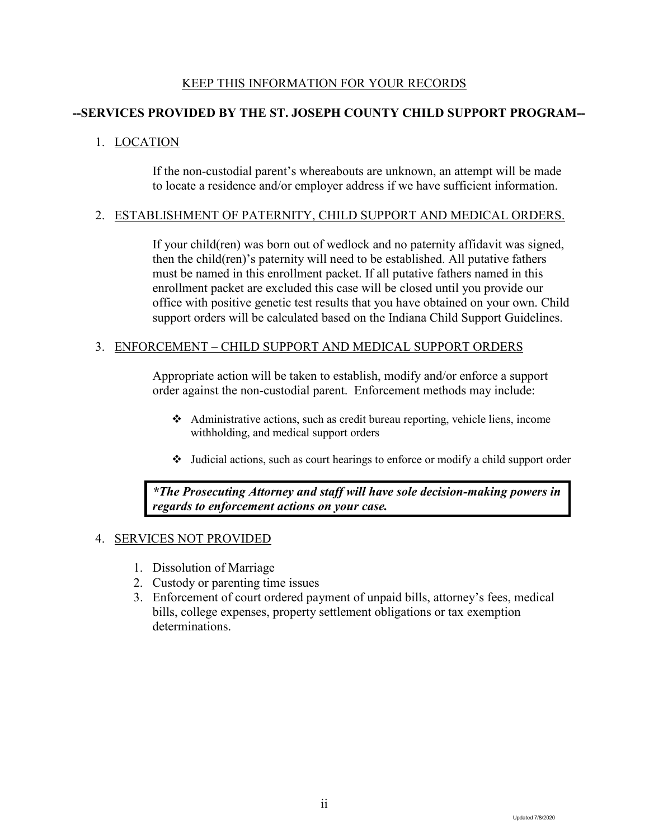### KEEP THIS INFORMATION FOR YOUR RECORDS

# **--SERVICES PROVIDED BY THE ST. JOSEPH COUNTY CHILD SUPPORT PROGRAM--**

### 1. LOCATION

If the non-custodial parent's whereabouts are unknown, an attempt will be made to locate a residence and/or employer address if we have sufficient information.

#### 2. ESTABLISHMENT OF PATERNITY, CHILD SUPPORT AND MEDICAL ORDERS.

If your child(ren) was born out of wedlock and no paternity affidavit was signed, then the child(ren)'s paternity will need to be established. All putative fathers must be named in this enrollment packet. If all putative fathers named in this enrollment packet are excluded this case will be closed until you provide our office with positive genetic test results that you have obtained on your own. Child support orders will be calculated based on the Indiana Child Support Guidelines.

#### 3. ENFORCEMENT – CHILD SUPPORT AND MEDICAL SUPPORT ORDERS

Appropriate action will be taken to establish, modify and/or enforce a support order against the non-custodial parent. Enforcement methods may include:

- Administrative actions, such as credit bureau reporting, vehicle liens, income withholding, and medical support orders
- Judicial actions, such as court hearings to enforce or modify a child support order

*\*The Prosecuting Attorney and staff will have sole decision-making powers in regards to enforcement actions on your case.* 

#### 4. SERVICES NOT PROVIDED

- 1. Dissolution of Marriage
- 2. Custody or parenting time issues
- 3. Enforcement of court ordered payment of unpaid bills, attorney's fees, medical bills, college expenses, property settlement obligations or tax exemption determinations.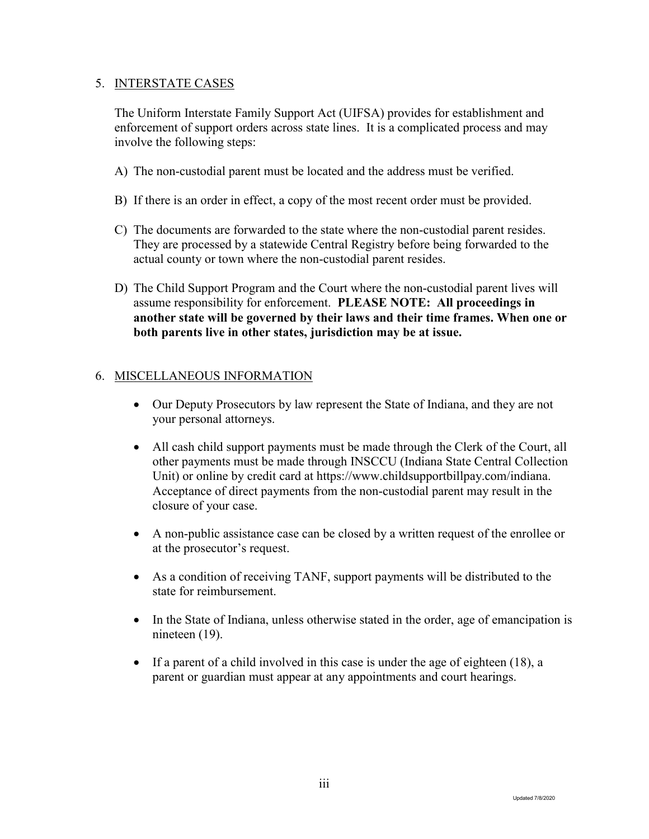### 5. INTERSTATE CASES

The Uniform Interstate Family Support Act (UIFSA) provides for establishment and enforcement of support orders across state lines. It is a complicated process and may involve the following steps:

- A) The non-custodial parent must be located and the address must be verified.
- B) If there is an order in effect, a copy of the most recent order must be provided.
- C) The documents are forwarded to the state where the non-custodial parent resides. They are processed by a statewide Central Registry before being forwarded to the actual county or town where the non-custodial parent resides.
- D) The Child Support Program and the Court where the non-custodial parent lives will assume responsibility for enforcement. **PLEASE NOTE: All proceedings in another state will be governed by their laws and their time frames. When one or both parents live in other states, jurisdiction may be at issue.**

# 6. MISCELLANEOUS INFORMATION

- Our Deputy Prosecutors by law represent the State of Indiana, and they are not your personal attorneys.
- All cash child support payments must be made through the Clerk of the Court, all other payments must be made through INSCCU (Indiana State Central Collection Unit) or online by credit card at https://www.childsupportbillpay.com/indiana. Acceptance of direct payments from the non-custodial parent may result in the closure of your case.
- A non-public assistance case can be closed by a written request of the enrollee or at the prosecutor's request.
- As a condition of receiving TANF, support payments will be distributed to the state for reimbursement.
- In the State of Indiana, unless otherwise stated in the order, age of emancipation is nineteen (19).
- If a parent of a child involved in this case is under the age of eighteen  $(18)$ , a parent or guardian must appear at any appointments and court hearings.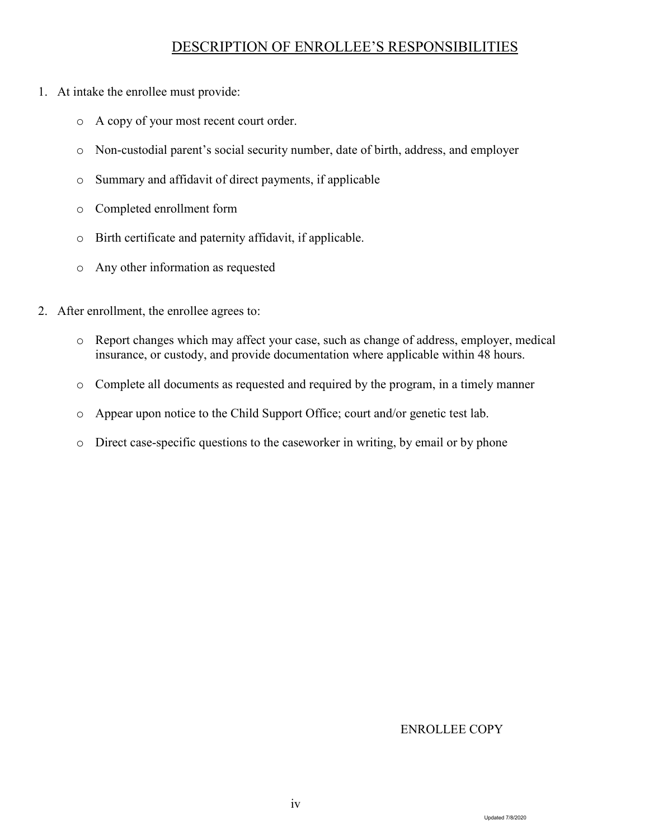# DESCRIPTION OF ENROLLEE'S RESPONSIBILITIES

- 1. At intake the enrollee must provide:
	- o A copy of your most recent court order.
	- o Non-custodial parent's social security number, date of birth, address, and employer
	- o Summary and affidavit of direct payments, if applicable
	- o Completed enrollment form
	- o Birth certificate and paternity affidavit, if applicable.
	- o Any other information as requested
- 2. After enrollment, the enrollee agrees to:
	- o Report changes which may affect your case, such as change of address, employer, medical insurance, or custody, and provide documentation where applicable within 48 hours.
	- o Complete all documents as requested and required by the program, in a timely manner
	- o Appear upon notice to the Child Support Office; court and/or genetic test lab.
	- o Direct case-specific questions to the caseworker in writing, by email or by phone

#### ENROLLEE COPY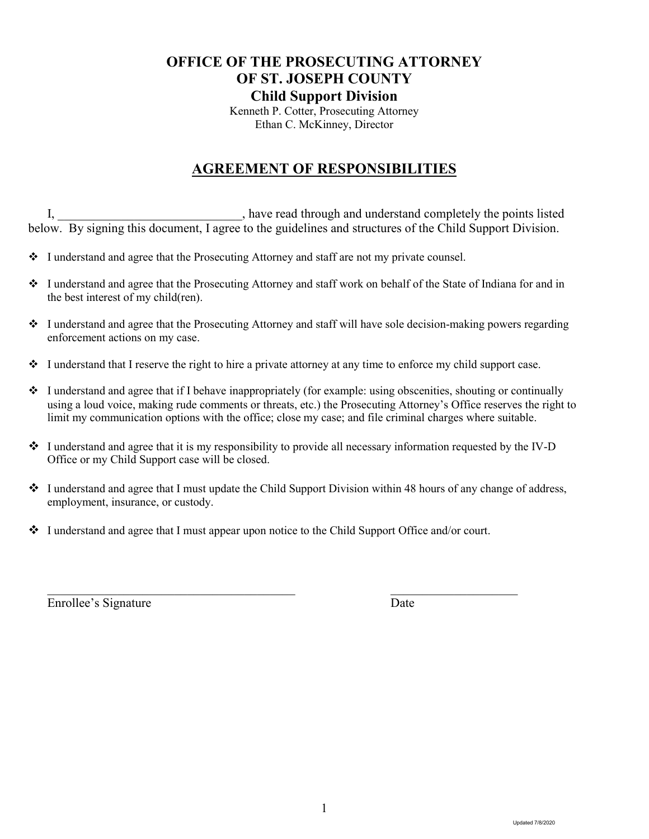# **OFFICE OF THE PROSECUTING ATTORNEY OF ST. JOSEPH COUNTY Child Support Division**

Kenneth P. Cotter, Prosecuting Attorney Ethan C. McKinney, Director

# **AGREEMENT OF RESPONSIBILITIES**

I,  $\qquad \qquad$  \_\_\_\_\_\_\_\_\_\_\_\_\_\_\_\_\_\_\_\_\_\_\_, have read through and understand completely the points listed below. By signing this document, I agree to the guidelines and structures of the Child Support Division.

- I understand and agree that the Prosecuting Attorney and staff are not my private counsel.
- I understand and agree that the Prosecuting Attorney and staff work on behalf of the State of Indiana for and in the best interest of my child(ren).
- I understand and agree that the Prosecuting Attorney and staff will have sole decision-making powers regarding enforcement actions on my case.
- $\cdot \cdot$  I understand that I reserve the right to hire a private attorney at any time to enforce my child support case.
- $\bullet$  I understand and agree that if I behave inappropriately (for example: using obscenities, shouting or continually using a loud voice, making rude comments or threats, etc.) the Prosecuting Attorney's Office reserves the right to limit my communication options with the office; close my case; and file criminal charges where suitable.
- $\bullet$  I understand and agree that it is my responsibility to provide all necessary information requested by the IV-D Office or my Child Support case will be closed.
- I understand and agree that I must update the Child Support Division within 48 hours of any change of address, employment, insurance, or custody.
- I understand and agree that I must appear upon notice to the Child Support Office and/or court.

Enrollee's Signature Date